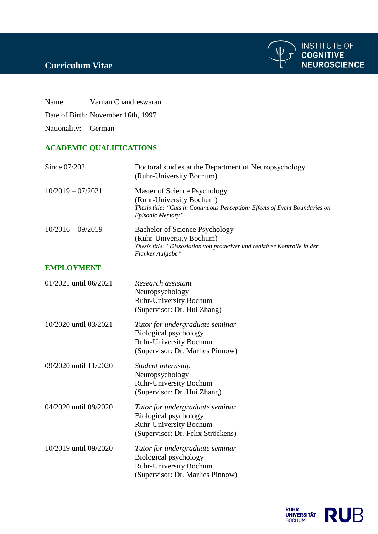## **Curriculum Vitae**

Name: Varnan Chandreswaran

Date of Birth: November 16th, 1997

Nationality: German

## **ACADEMIC QUALIFICATIONS**

| Since 07/2021         | Doctoral studies at the Department of Neuropsychology<br>(Ruhr-University Bochum)                                                                                  |
|-----------------------|--------------------------------------------------------------------------------------------------------------------------------------------------------------------|
| $10/2019 - 07/2021$   | Master of Science Psychology<br>(Ruhr-University Bochum)<br>Thesis title: "Cuts in Continuous Perception: Effects of Event Boundaries on<br>Episodic Memory"       |
| $10/2016 - 09/2019$   | <b>Bachelor of Science Psychology</b><br>(Ruhr-University Bochum)<br>Thesis title: "Dissoziation von proaktiver und reaktiver Kontrolle in der<br>Flanker Aufgabe" |
| <b>EMPLOYMENT</b>     |                                                                                                                                                                    |
| 01/2021 until 06/2021 | Research assistant<br>Neuropsychology<br><b>Ruhr-University Bochum</b><br>(Supervisor: Dr. Hui Zhang)                                                              |
| 10/2020 until 03/2021 | Tutor for undergraduate seminar<br>Biological psychology<br><b>Ruhr-University Bochum</b><br>(Supervisor: Dr. Marlies Pinnow)                                      |
| 09/2020 until 11/2020 | Student internship<br>Neuropsychology<br><b>Ruhr-University Bochum</b><br>(Supervisor: Dr. Hui Zhang)                                                              |
| 04/2020 until 09/2020 | Tutor for undergraduate seminar<br>Biological psychology<br>Ruhr-University Bochum<br>(Supervisor: Dr. Felix Ströckens)                                            |
| 10/2019 until 09/2020 | Tutor for undergraduate seminar<br><b>Biological psychology</b><br><b>Ruhr-University Bochum</b><br>(Supervisor: Dr. Marlies Pinnow)                               |